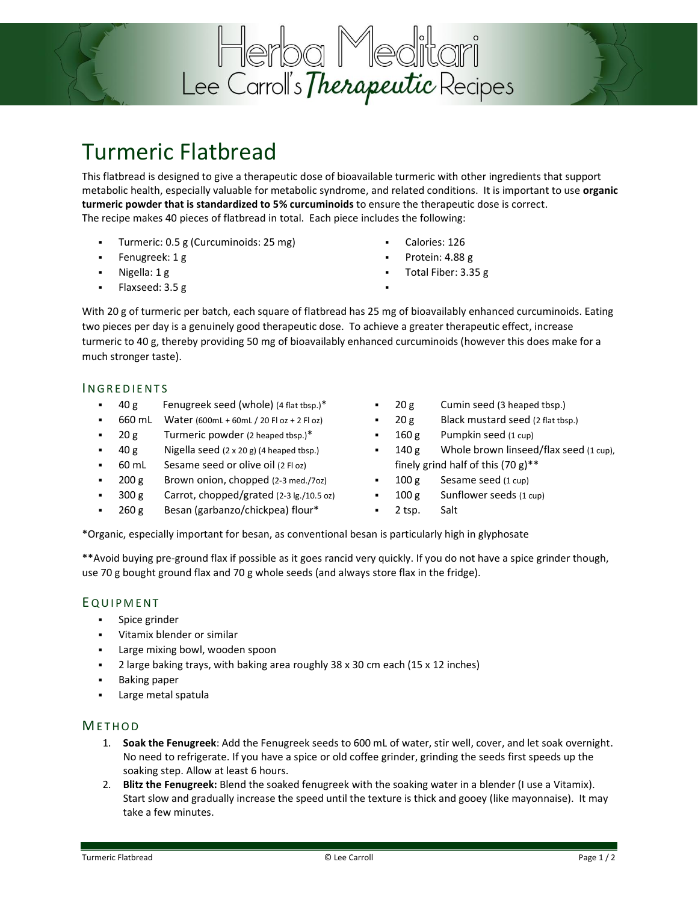

## Turmeric Flatbread

This flatbread is designed to give a therapeutic dose of bioavailable turmeric with other ingredients that support metabolic health, especially valuable for metabolic syndrome, and related conditions. It is important to use **organic turmeric powder that is standardized to 5% curcuminoids** to ensure the therapeutic dose is correct. The recipe makes 40 pieces of flatbread in total. Each piece includes the following:

- Turmeric: 0.5 g (Curcuminoids: 25 mg)
- Fenugreek: 1 g
- Nigella: 1 g
- Flaxseed: 3.5 g
- Calories: 126
- Protein: 4.88 g

▪

Total Fiber: 3.35 g

With 20 g of turmeric per batch, each square of flatbread has 25 mg of bioavailably enhanced curcuminoids. Eating two pieces per day is a genuinely good therapeutic dose. To achieve a greater therapeutic effect, increase turmeric to 40 g, thereby providing 50 mg of bioavailably enhanced curcuminoids (however this does make for a much stronger taste).

### **INGREDIENTS**

- 40 g Fenugreek seed (whole) (4 flat tbsp.)\*
- 660 mL Water (600mL + 60mL / 20 Fl oz + 2 Fl oz)
- $\bullet$  20 g Turmeric powder (2 heaped tbsp.)\*
- 40 g Nigella seed (2 x 20 g) (4 heaped tbsp.)
- 60 mL Sesame seed or olive oil (2 Fl oz)
- $200 g$  Brown onion, chopped (2-3 med./7oz)
- $300 g$  Carrot, chopped/grated (2-3 lg./10.5 oz)
- 260 g Besan (garbanzo/chickpea) flour\*
- 20 g Cumin seed (3 heaped tbsp.)
- 20 g Black mustard seed (2 flat tbsp.)
- $160 g$  Pumpkin seed (1 cup)
- 140 g Whole brown linseed/flax seed  $(1 cup)$ , finely grind half of this  $(70 g)^{**}$
- $100 g$  Sesame seed (1 cup)
- $100 g$  Sunflower seeds (1 cup)
- 2 tsp. Salt

\*Organic, especially important for besan, as conventional besan is particularly high in glyphosate

\*\*Avoid buying pre-ground flax if possible as it goes rancid very quickly. If you do not have a spice grinder though, use 70 g bought ground flax and 70 g whole seeds (and always store flax in the fridge).

### **EQUIPMENT**

- Spice grinder
- Vitamix blender or similar
- Large mixing bowl, wooden spoon
- 2 large baking trays, with baking area roughly 38 x 30 cm each (15 x 12 inches)
- **Baking paper**
- Large metal spatula

### **METHOD**

- 1. **Soak the Fenugreek**: Add the Fenugreek seeds to 600 mL of water, stir well, cover, and let soak overnight. No need to refrigerate. If you have a spice or old coffee grinder, grinding the seeds first speeds up the soaking step. Allow at least 6 hours.
- 2. **Blitz the Fenugreek:** Blend the soaked fenugreek with the soaking water in a blender (I use a Vitamix). Start slow and gradually increase the speed until the texture is thick and gooey (like mayonnaise). It may take a few minutes.